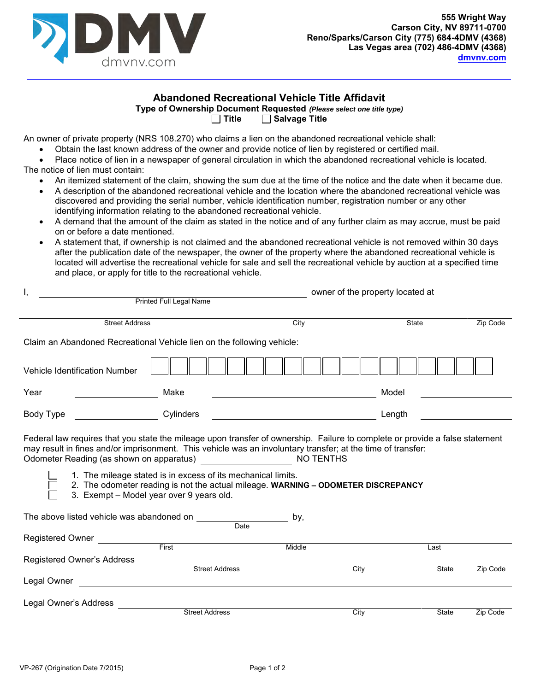

## **Abandoned Recreational Vehicle Title Affidavit**

**Type of Ownership Document Requested** *(Please select one title type)*

**Title Salvage Title**

An owner of private property (NRS 108.270) who claims a lien on the abandoned recreational vehicle shall:

I, owner of the property located at

- Obtain the last known address of the owner and provide notice of lien by registered or certified mail.
- Place notice of lien in a newspaper of general circulation in which the abandoned recreational vehicle is located. The notice of lien must contain:
	- An itemized statement of the claim, showing the sum due at the time of the notice and the date when it became due.
	- A description of the abandoned recreational vehicle and the location where the abandoned recreational vehicle was discovered and providing the serial number, vehicle identification number, registration number or any other identifying information relating to the abandoned recreational vehicle.
	- A demand that the amount of the claim as stated in the notice and of any further claim as may accrue, must be paid on or before a date mentioned.
	- A statement that, if ownership is not claimed and the abandoned recreational vehicle is not removed within 30 days after the publication date of the newspaper, the owner of the property where the abandoned recreational vehicle is located will advertise the recreational vehicle for sale and sell the recreational vehicle by auction at a specified time and place, or apply for title to the recreational vehicle.

| <b>OWNCL OF the property located at</b><br><b>Printed Full Legal Name</b>                                                                                                                                                                                                                                                                                                                                                                                                                                |                       |      |               |          |  |  |  |
|----------------------------------------------------------------------------------------------------------------------------------------------------------------------------------------------------------------------------------------------------------------------------------------------------------------------------------------------------------------------------------------------------------------------------------------------------------------------------------------------------------|-----------------------|------|---------------|----------|--|--|--|
| <b>Street Address</b>                                                                                                                                                                                                                                                                                                                                                                                                                                                                                    |                       | City | State         | Zip Code |  |  |  |
| Claim an Abandoned Recreational Vehicle lien on the following vehicle:                                                                                                                                                                                                                                                                                                                                                                                                                                   |                       |      |               |          |  |  |  |
| Vehicle Identification Number                                                                                                                                                                                                                                                                                                                                                                                                                                                                            |                       |      |               |          |  |  |  |
| Year                                                                                                                                                                                                                                                                                                                                                                                                                                                                                                     | Make                  |      | Model         |          |  |  |  |
| Body Type                                                                                                                                                                                                                                                                                                                                                                                                                                                                                                | Cylinders             |      | Length        |          |  |  |  |
| Federal law requires that you state the mileage upon transfer of ownership. Failure to complete or provide a false statement<br>may result in fines and/or imprisonment. This vehicle was an involuntary transfer; at the time of transfer:<br>1. The mileage stated is in excess of its mechanical limits.<br>2. The odometer reading is not the actual mileage. WARNING - ODOMETER DISCREPANCY<br>3. Exempt - Model year over 9 years old.<br>The above listed vehicle was abandoned on<br>by,<br>Date |                       |      |               |          |  |  |  |
| Registered Owner<br><b>First Exercise 1999</b><br>Middle                                                                                                                                                                                                                                                                                                                                                                                                                                                 |                       |      |               |          |  |  |  |
| Registered Owner's Address                                                                                                                                                                                                                                                                                                                                                                                                                                                                               | <b>Street Address</b> | City | Last<br>State | Zip Code |  |  |  |
| Legal Owner                                                                                                                                                                                                                                                                                                                                                                                                                                                                                              |                       |      |               |          |  |  |  |
| Legal Owner's Address                                                                                                                                                                                                                                                                                                                                                                                                                                                                                    |                       |      |               |          |  |  |  |
|                                                                                                                                                                                                                                                                                                                                                                                                                                                                                                          | <b>Street Address</b> | City | State         | Zip Code |  |  |  |